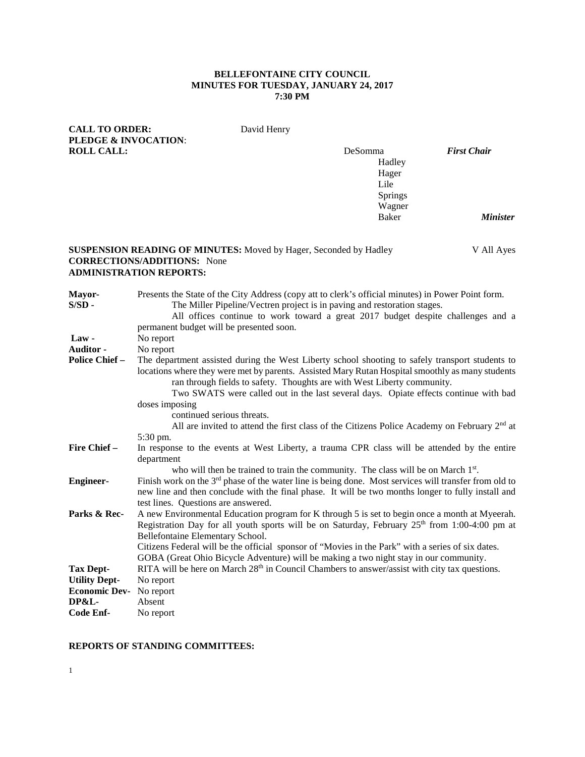# **BELLEFONTAINE CITY COUNCIL MINUTES FOR TUESDAY, JANUARY 24, 2017 7:30 PM**

| <b>CALL TO ORDER:</b><br><b>PLEDGE &amp; INVOCATION:</b>                                          |                                                                                                                                                                                                                                                                                                                                                                                                                                                                                                                                                             | David Henry |                                                         |                    |
|---------------------------------------------------------------------------------------------------|-------------------------------------------------------------------------------------------------------------------------------------------------------------------------------------------------------------------------------------------------------------------------------------------------------------------------------------------------------------------------------------------------------------------------------------------------------------------------------------------------------------------------------------------------------------|-------------|---------------------------------------------------------|--------------------|
| <b>ROLL CALL:</b>                                                                                 |                                                                                                                                                                                                                                                                                                                                                                                                                                                                                                                                                             |             | DeSomma<br>Hadley<br>Hager<br>Lile<br>Springs<br>Wagner | <b>First Chair</b> |
|                                                                                                   |                                                                                                                                                                                                                                                                                                                                                                                                                                                                                                                                                             |             | <b>Baker</b>                                            | <b>Minister</b>    |
|                                                                                                   | <b>SUSPENSION READING OF MINUTES:</b> Moved by Hager, Seconded by Hadley<br><b>CORRECTIONS/ADDITIONS:</b> None<br><b>ADMINISTRATION REPORTS:</b>                                                                                                                                                                                                                                                                                                                                                                                                            |             |                                                         | V All Ayes         |
| Mayor-<br>$S/SD -$                                                                                | Presents the State of the City Address (copy att to clerk's official minutes) in Power Point form.<br>The Miller Pipeline/Vectren project is in paving and restoration stages.<br>All offices continue to work toward a great 2017 budget despite challenges and a<br>permanent budget will be presented soon.                                                                                                                                                                                                                                              |             |                                                         |                    |
| $Law -$<br><b>Auditor</b> -<br><b>Police Chief -</b>                                              | No report<br>No report<br>The department assisted during the West Liberty school shooting to safely transport students to<br>locations where they were met by parents. Assisted Mary Rutan Hospital smoothly as many students<br>ran through fields to safety. Thoughts are with West Liberty community.<br>Two SWATS were called out in the last several days. Opiate effects continue with bad<br>doses imposing<br>continued serious threats.<br>All are invited to attend the first class of the Citizens Police Academy on February 2 <sup>nd</sup> at |             |                                                         |                    |
| Fire Chief -                                                                                      | 5:30 pm.<br>In response to the events at West Liberty, a trauma CPR class will be attended by the entire<br>department                                                                                                                                                                                                                                                                                                                                                                                                                                      |             |                                                         |                    |
| <b>Engineer-</b>                                                                                  | who will then be trained to train the community. The class will be on March 1st.<br>Finish work on the $3rd$ phase of the water line is being done. Most services will transfer from old to<br>new line and then conclude with the final phase. It will be two months longer to fully install and<br>test lines. Questions are answered.                                                                                                                                                                                                                    |             |                                                         |                    |
| Parks & Rec-                                                                                      | A new Environmental Education program for K through 5 is set to begin once a month at Myeerah.<br>Registration Day for all youth sports will be on Saturday, February 25 <sup>th</sup> from 1:00-4:00 pm at<br>Bellefontaine Elementary School.<br>Citizens Federal will be the official sponsor of "Movies in the Park" with a series of six dates.<br>GOBA (Great Ohio Bicycle Adventure) will be making a two night stay in our community.                                                                                                               |             |                                                         |                    |
| <b>Tax Dept-</b><br><b>Utility Dept-</b><br><b>Economic Dev-</b><br><b>DP&amp;L-</b><br>Code Enf- | RITA will be here on March 28 <sup>th</sup> in Council Chambers to answer/assist with city tax questions.<br>No report<br>No report<br>Absent<br>No report                                                                                                                                                                                                                                                                                                                                                                                                  |             |                                                         |                    |

# **REPORTS OF STANDING COMMITTEES:**

1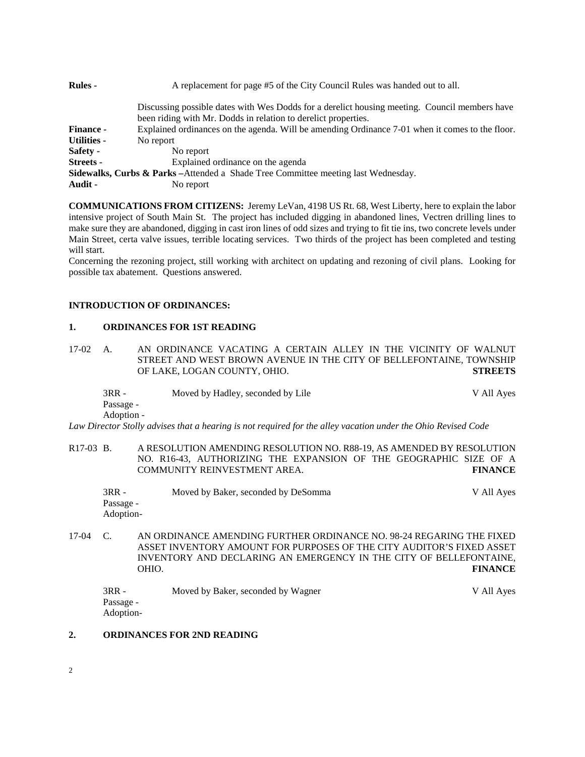| <b>Rules -</b>     | A replacement for page #5 of the City Council Rules was handed out to all.                                                                                      |
|--------------------|-----------------------------------------------------------------------------------------------------------------------------------------------------------------|
|                    | Discussing possible dates with Wes Dodds for a derelict housing meeting. Council members have<br>been riding with Mr. Dodds in relation to derelict properties. |
| <b>Finance -</b>   | Explained ordinances on the agenda. Will be amending Ordinance 7-01 when it comes to the floor.                                                                 |
| <b>Utilities -</b> | No report                                                                                                                                                       |
| Safety -           | No report                                                                                                                                                       |
| <b>Streets -</b>   | Explained ordinance on the agenda                                                                                                                               |
|                    | <b>Sidewalks, Curbs &amp; Parks</b> – Attended a Shade Tree Committee meeting last Wednesday.                                                                   |
| Audit -            | No report                                                                                                                                                       |

**COMMUNICATIONS FROM CITIZENS:** Jeremy LeVan, 4198 US Rt. 68, West Liberty, here to explain the labor intensive project of South Main St. The project has included digging in abandoned lines, Vectren drilling lines to make sure they are abandoned, digging in cast iron lines of odd sizes and trying to fit tie ins, two concrete levels under Main Street, certa valve issues, terrible locating services. Two thirds of the project has been completed and testing will start.

Concerning the rezoning project, still working with architect on updating and rezoning of civil plans. Looking for possible tax abatement. Questions answered.

#### **INTRODUCTION OF ORDINANCES:**

#### **1. ORDINANCES FOR 1ST READING**

17-02 A. AN ORDINANCE VACATING A CERTAIN ALLEY IN THE VICINITY OF WALNUT STREET AND WEST BROWN AVENUE IN THE CITY OF BELLEFONTAINE, TOWNSHIP OF LAKE, LOGAN COUNTY, OHIO. **STREETS**

| $3RR -$    | Moved by Hadley, seconded by Lile | V All Ayes |
|------------|-----------------------------------|------------|
| Passage -  |                                   |            |
| Adoption - |                                   |            |

*Law Director Stolly advises that a hearing is not required for the alley vacation under the Ohio Revised Code*

R17-03 B. A RESOLUTION AMENDING RESOLUTION NO. R88-19, AS AMENDED BY RESOLUTION NO. R16-43, AUTHORIZING THE EXPANSION OF THE GEOGRAPHIC SIZE OF A COMMUNITY REINVESTMENT AREA. **FINANCE**

| $3RR -$   | Moved by Baker, seconded by DeSomma | V All Ayes |
|-----------|-------------------------------------|------------|
| Passage - |                                     |            |
| Adoption- |                                     |            |

17-04 C. AN ORDINANCE AMENDING FURTHER ORDINANCE NO. 98-24 REGARING THE FIXED ASSET INVENTORY AMOUNT FOR PURPOSES OF THE CITY AUDITOR'S FIXED ASSET INVENTORY AND DECLARING AN EMERGENCY IN THE CITY OF BELLEFONTAINE, OHIO. **FINANCE**

| 3RR -     | Moved by Baker, seconded by Wagner | V All Ayes |
|-----------|------------------------------------|------------|
| Passage - |                                    |            |
| Adoption- |                                    |            |

#### **2. ORDINANCES FOR 2ND READING**

2